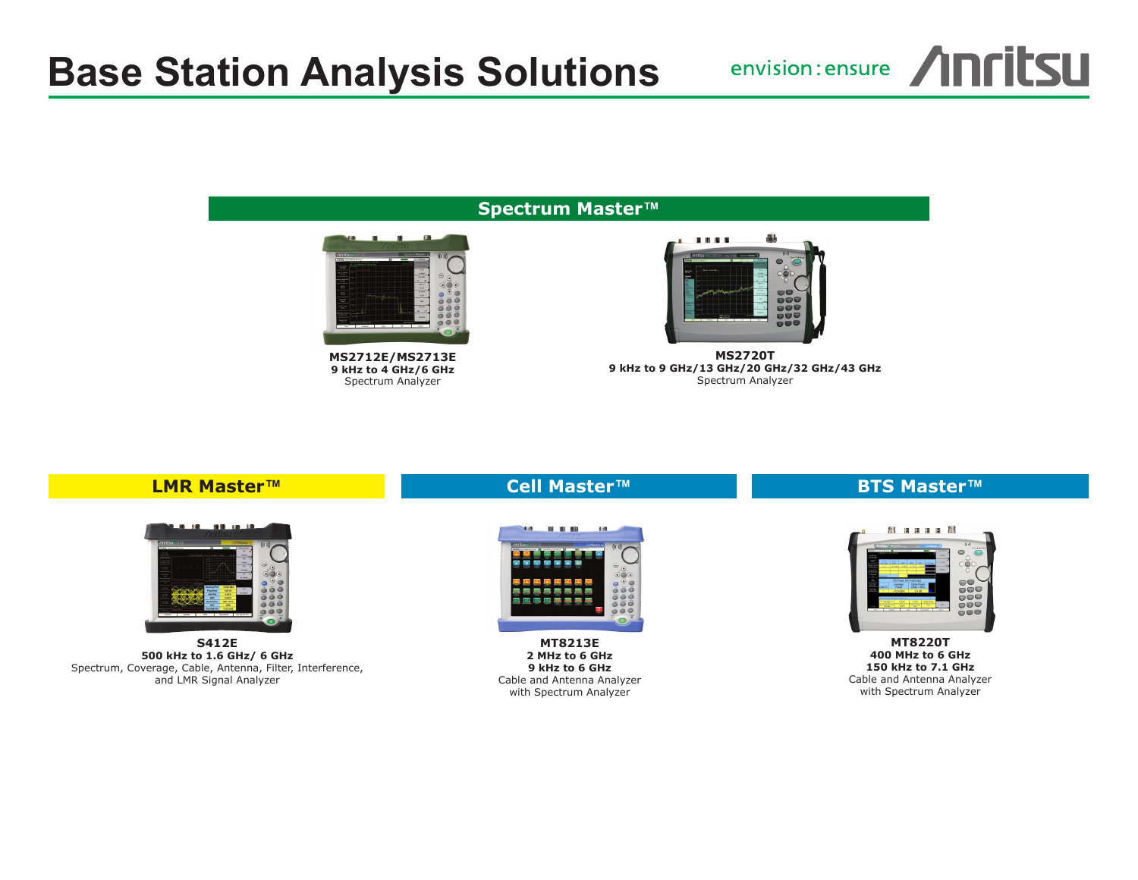# **Base Station Analysis Solutions**

envision: ensure /INFILSU

#### **Spectrum Master™**



**MS2712E/MS2713E 9 kHz to 4 GHz/6 GHz** Spectrum Analyzer



**MS2720T 9 kHz to 9 GHz/13 GHz/20 GHz/32 GHz/43 GHz** Spectrum Analyzer

#### **LMR Master™**



**S412E 500 kHz to 1.6 GHz/ 6 GHz** Spectrum, Coverage, Cable, Antenna, Filter, Interference, and LMR Signal Analyzer

### **Cell Master™**



**MT8213E 2 MHz to 6 GHz 9 kHz to 6 GHz** Cable and Antenna Analyzer with Spectrum Analyzer

## **BTS Master™**



**MT8220T 400 MHz to 6 GHz 150 kHz to 7.1 GHz** Cable and Antenna Analyzer with Spectrum Analyzer